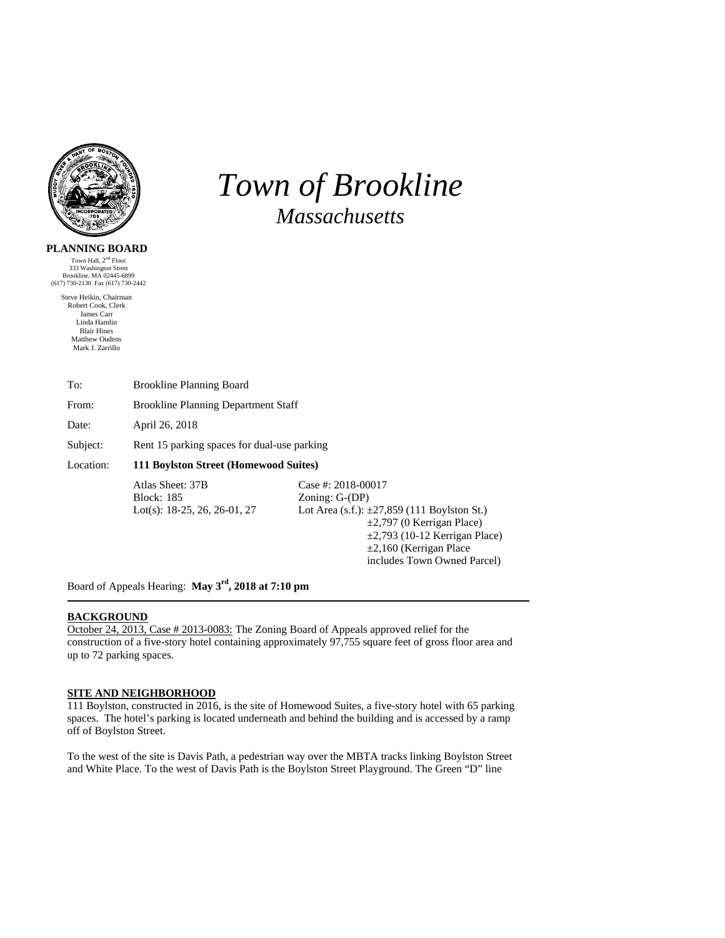

## **PLANNING BOARD**

Town Hall,  $2<sup>nd</sup>$  Floor 333 Washington Street Brookline, MA 02445-6899 (617) 730-2130 Fax (617) 730-2442

Steve Heikin, Chairman Robert Cook, Clerk James Carr Linda Hamlin Blair Hines Matthew Oudens Mark J. Zarrillo

*Town of Brookline Massachusetts* 

| To:       | <b>Brookline Planning Board</b>              |
|-----------|----------------------------------------------|
| From:     | <b>Brookline Planning Department Staff</b>   |
| Date:     | April 26, 2018                               |
| Subject:  | Rent 15 parking spaces for dual-use parking  |
| Location: | <b>111 Boylston Street (Homewood Suites)</b> |
|           |                                              |

Atlas Sheet: 37B Case #: 2018-00017 Block: 185 Zoning: G-(DP)

Lot(s): 18-25, 26, 26-01, 27 Lot Area (s.f.):  $\pm$ 27,859 (111 Boylston St.) ±2,797 (0 Kerrigan Place)  $\pm$ 2,793 (10-12 Kerrigan Place) ±2,160 (Kerrigan Place includes Town Owned Parcel)

Board of Appeals Hearing: **May 3rd, 2018 at 7:10 pm**

# **BACKGROUND**

October 24, 2013, Case # 2013-0083: The Zoning Board of Appeals approved relief for the construction of a five-story hotel containing approximately 97,755 square feet of gross floor area and up to 72 parking spaces.

## **SITE AND NEIGHBORHOOD**

111 Boylston, constructed in 2016, is the site of Homewood Suites, a five-story hotel with 65 parking spaces. The hotel's parking is located underneath and behind the building and is accessed by a ramp off of Boylston Street.

To the west of the site is Davis Path, a pedestrian way over the MBTA tracks linking Boylston Street and White Place. To the west of Davis Path is the Boylston Street Playground. The Green "D" line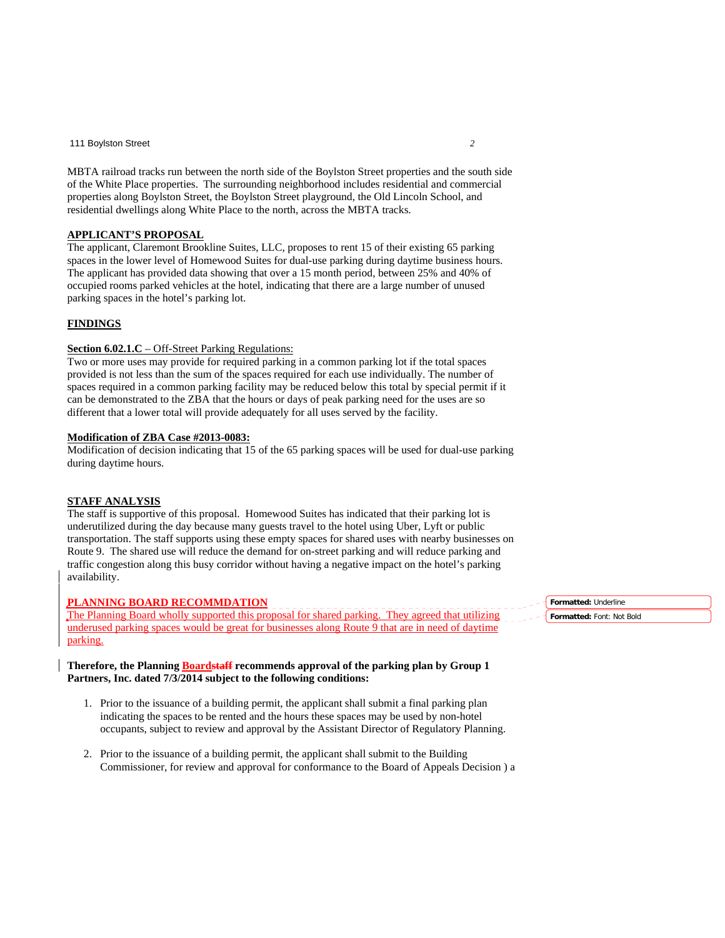111 Boylston Street *2*

MBTA railroad tracks run between the north side of the Boylston Street properties and the south side of the White Place properties. The surrounding neighborhood includes residential and commercial properties along Boylston Street, the Boylston Street playground, the Old Lincoln School, and residential dwellings along White Place to the north, across the MBTA tracks.

# **APPLICANT'S PROPOSAL**

The applicant, Claremont Brookline Suites, LLC, proposes to rent 15 of their existing 65 parking spaces in the lower level of Homewood Suites for dual-use parking during daytime business hours. The applicant has provided data showing that over a 15 month period, between 25% and 40% of occupied rooms parked vehicles at the hotel, indicating that there are a large number of unused parking spaces in the hotel's parking lot.

### **FINDINGS**

#### **Section 6.02.1.C** – Off-Street Parking Regulations:

Two or more uses may provide for required parking in a common parking lot if the total spaces provided is not less than the sum of the spaces required for each use individually. The number of spaces required in a common parking facility may be reduced below this total by special permit if it can be demonstrated to the ZBA that the hours or days of peak parking need for the uses are so different that a lower total will provide adequately for all uses served by the facility.

#### **Modification of ZBA Case #2013-0083:**

Modification of decision indicating that 15 of the 65 parking spaces will be used for dual-use parking during daytime hours.

### **STAFF ANALYSIS**

The staff is supportive of this proposal. Homewood Suites has indicated that their parking lot is underutilized during the day because many guests travel to the hotel using Uber, Lyft or public transportation. The staff supports using these empty spaces for shared uses with nearby businesses on Route 9. The shared use will reduce the demand for on-street parking and will reduce parking and traffic congestion along this busy corridor without having a negative impact on the hotel's parking availability.

## **PLANNING BOARD RECOMMDATION**

The Planning Board wholly supported this proposal for shared parking. They agreed that utilizing underused parking spaces would be great for businesses along Route 9 that are in need of daytime parking.

### **Therefore, the Planning Boardstaff recommends approval of the parking plan by Group 1 Partners, Inc. dated 7/3/2014 subject to the following conditions:**

- 1. Prior to the issuance of a building permit, the applicant shall submit a final parking plan indicating the spaces to be rented and the hours these spaces may be used by non-hotel occupants, subject to review and approval by the Assistant Director of Regulatory Planning.
- 2. Prior to the issuance of a building permit, the applicant shall submit to the Building Commissioner, for review and approval for conformance to the Board of Appeals Decision ) a

**Formatted:** Underline **Formatted:** Font: Not Bold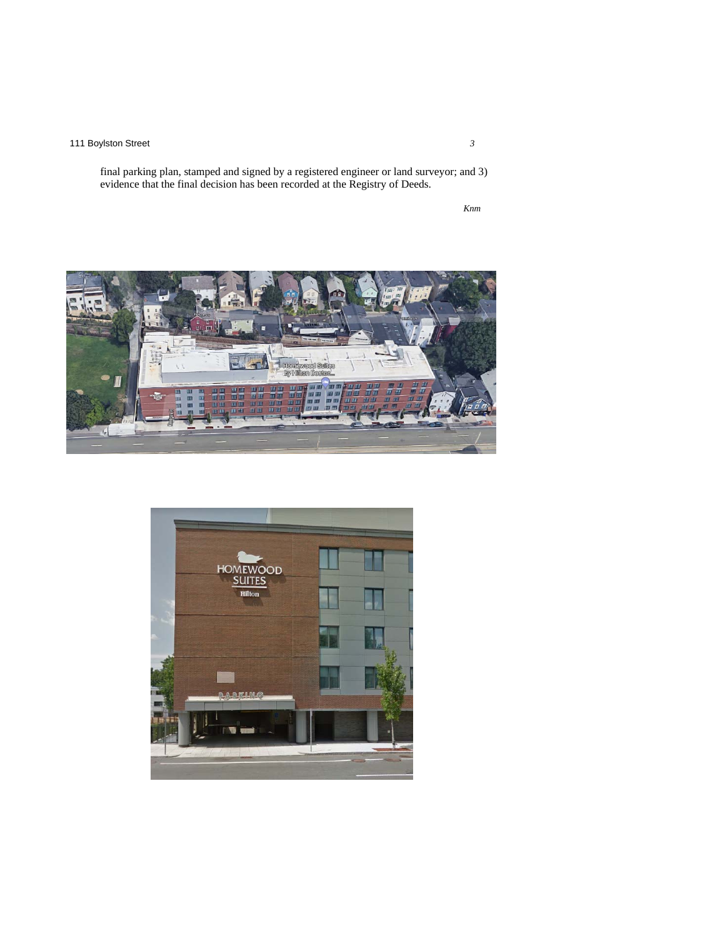## 111 Boylston Street *3*

final parking plan, stamped and signed by a registered engineer or land surveyor; and 3) evidence that the final decision has been recorded at the Registry of Deeds.

*Knm*